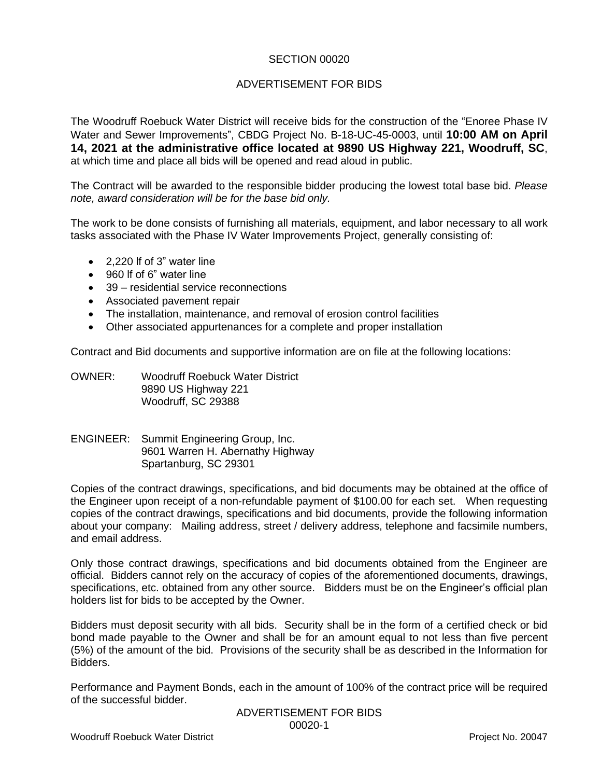## SECTION 00020

## ADVERTISEMENT FOR BIDS

The Woodruff Roebuck Water District will receive bids for the construction of the "Enoree Phase IV Water and Sewer Improvements", CBDG Project No. B-18-UC-45-0003, until **10:00 AM on April 14, 2021 at the administrative office located at 9890 US Highway 221, Woodruff, SC**, at which time and place all bids will be opened and read aloud in public.

The Contract will be awarded to the responsible bidder producing the lowest total base bid. *Please note, award consideration will be for the base bid only.*

The work to be done consists of furnishing all materials, equipment, and labor necessary to all work tasks associated with the Phase IV Water Improvements Project, generally consisting of:

- 2,220 lf of 3" water line
- 960 lf of 6" water line
- 39 residential service reconnections
- Associated pavement repair
- The installation, maintenance, and removal of erosion control facilities
- Other associated appurtenances for a complete and proper installation

Contract and Bid documents and supportive information are on file at the following locations:

OWNER: Woodruff Roebuck Water District 9890 US Highway 221 Woodruff, SC 29388

ENGINEER: Summit Engineering Group, Inc. 9601 Warren H. Abernathy Highway Spartanburg, SC 29301

Copies of the contract drawings, specifications, and bid documents may be obtained at the office of the Engineer upon receipt of a non-refundable payment of \$100.00 for each set. When requesting copies of the contract drawings, specifications and bid documents, provide the following information about your company: Mailing address, street / delivery address, telephone and facsimile numbers, and email address.

Only those contract drawings, specifications and bid documents obtained from the Engineer are official. Bidders cannot rely on the accuracy of copies of the aforementioned documents, drawings, specifications, etc. obtained from any other source. Bidders must be on the Engineer's official plan holders list for bids to be accepted by the Owner.

Bidders must deposit security with all bids. Security shall be in the form of a certified check or bid bond made payable to the Owner and shall be for an amount equal to not less than five percent (5%) of the amount of the bid. Provisions of the security shall be as described in the Information for Bidders.

Performance and Payment Bonds, each in the amount of 100% of the contract price will be required of the successful bidder.

> ADVERTISEMENT FOR BIDS 00020-1